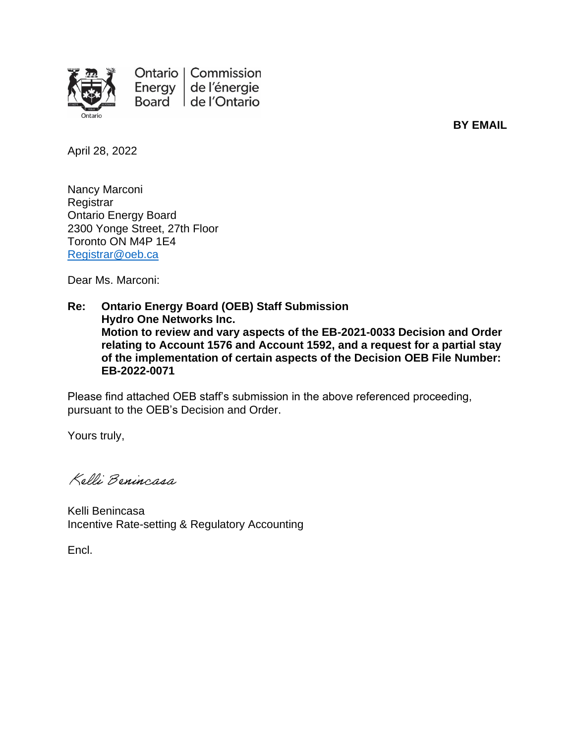

Ontario | Commission Energy de l'énergie Board de l'Ontario

**BY EMAIL**

April 28, 2022

Nancy Marconi **Registrar** Ontario Energy Board 2300 Yonge Street, 27th Floor Toronto ON M4P 1E4 [Registrar@oeb.ca](mailto:Registrar@oeb.ca)

Dear Ms. Marconi:

**Re: Ontario Energy Board (OEB) Staff Submission Hydro One Networks Inc. Motion to review and vary aspects of the EB-2021-0033 Decision and Order relating to Account 1576 and Account 1592, and a request for a partial stay of the implementation of certain aspects of the Decision OEB File Number: EB-2022-0071**

Please find attached OEB staff's submission in the above referenced proceeding, pursuant to the OEB's Decision and Order.

Yours truly,

Kelli Benincasa

Kelli Benincasa Incentive Rate-setting & Regulatory Accounting

Encl.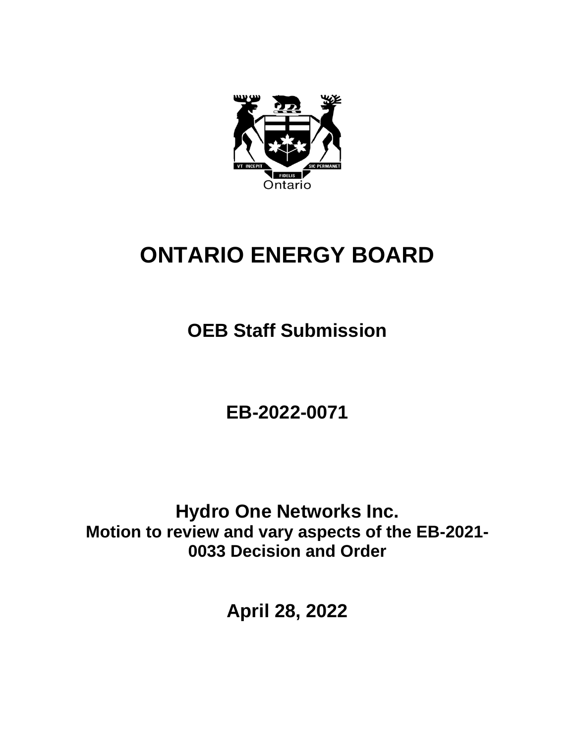

## **ONTARIO ENERGY BOARD**

**OEB Staff Submission**

**EB-2022-0071**

**Hydro One Networks Inc. Motion to review and vary aspects of the EB-2021- 0033 Decision and Order**

**April 28, 2022**